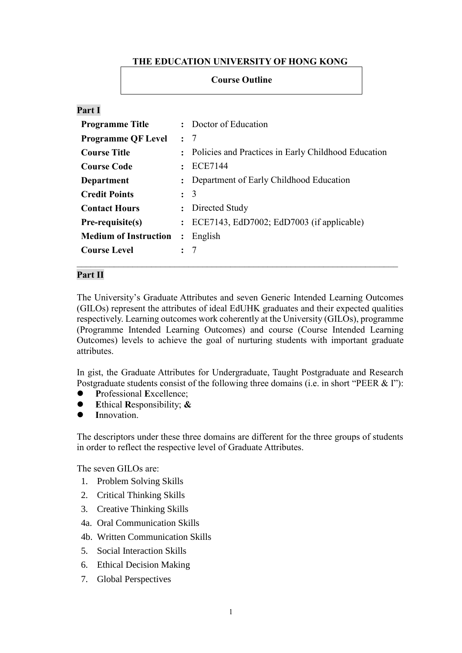# **THE EDUCATION UNIVERSITY OF HONG KONG**

**Course Outline**

## **Part I**

| <b>Programme Title</b>       |                      | : Doctor of Education                                 |
|------------------------------|----------------------|-------------------------------------------------------|
| <b>Programme QF Level</b>    |                      | $\colon$ 7                                            |
| <b>Course Title</b>          |                      | : Policies and Practices in Early Childhood Education |
| <b>Course Code</b>           |                      | <b>ECE7144</b>                                        |
| Department                   |                      | Department of Early Childhood Education               |
| <b>Credit Points</b>         |                      | $\colon$ 3                                            |
| <b>Contact Hours</b>         | $\mathbf{L}$         | Directed Study                                        |
| Pre-requisite(s)             | $\ddot{\phantom{a}}$ | ECE7143, EdD7002; EdD7003 (if applicable)             |
| <b>Medium of Instruction</b> | $\ddot{\cdot}$       | English                                               |
| <b>Course Level</b>          |                      | $\cdot$ 7                                             |

### **Part II**

The University's Graduate Attributes and seven Generic Intended Learning Outcomes (GILOs) represent the attributes of ideal EdUHK graduates and their expected qualities respectively. Learning outcomes work coherently at the University (GILOs), programme (Programme Intended Learning Outcomes) and course (Course Intended Learning Outcomes) levels to achieve the goal of nurturing students with important graduate attributes.

In gist, the Graduate Attributes for Undergraduate, Taught Postgraduate and Research Postgraduate students consist of the following three domains (i.e. in short "PEER & I"):

- **P**rofessional **E**xcellence;
- **E**thical **R**esponsibility; **&**
- **I**nnovation.

The descriptors under these three domains are different for the three groups of students in order to reflect the respective level of Graduate Attributes.

The seven GILOs are:

- 1. Problem Solving Skills
- 2. Critical Thinking Skills
- 3. Creative Thinking Skills
- 4a. Oral Communication Skills
- 4b. Written Communication Skills
- 5. Social Interaction Skills
- 6. Ethical Decision Making
- 7. Global Perspectives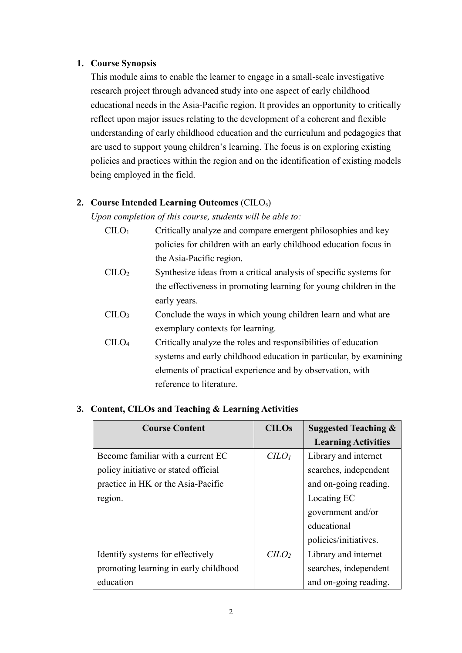## **1. Course Synopsis**

This module aims to enable the learner to engage in a small-scale investigative research project through advanced study into one aspect of early childhood educational needs in the Asia-Pacific region. It provides an opportunity to critically reflect upon major issues relating to the development of a coherent and flexible understanding of early childhood education and the curriculum and pedagogies that are used to support young children's learning. The focus is on exploring existing policies and practices within the region and on the identification of existing models being employed in the field.

# **2. Course Intended Learning Outcomes** (CILOs)

*Upon completion of this course, students will be able to:*

- $CILO<sub>1</sub>$  Critically analyze and compare emergent philosophies and key policies for children with an early childhood education focus in the Asia-Pacific region. CILO<sup>2</sup> Synthesize ideas from a critical analysis of specific systems for
- the effectiveness in promoting learning for young children in the early years.
- $C I L O<sub>3</sub>$  Conclude the ways in which young children learn and what are exemplary contexts for learning.
- CILO<sup>4</sup> Critically analyze the roles and responsibilities of education systems and early childhood education in particular, by examining elements of practical experience and by observation, with reference to literature.

| <b>Course Content</b>                 | <b>CILOs</b>                | <b>Suggested Teaching &amp;</b> |
|---------------------------------------|-----------------------------|---------------------------------|
|                                       |                             | <b>Learning Activities</b>      |
| Become familiar with a current EC     | C <sub>LO<sub>l</sub></sub> | Library and internet            |
| policy initiative or stated official  |                             | searches, independent           |
| practice in HK or the Asia-Pacific    |                             | and on-going reading.           |
| region.                               |                             | Locating EC                     |
|                                       |                             | government and/or               |
|                                       |                             | educational                     |
|                                       |                             | policies/initiatives.           |
| Identify systems for effectively      | $C$                         | Library and internet            |
| promoting learning in early childhood |                             | searches, independent           |
| education                             |                             | and on-going reading.           |

## **3. Content, CILOs and Teaching & Learning Activities**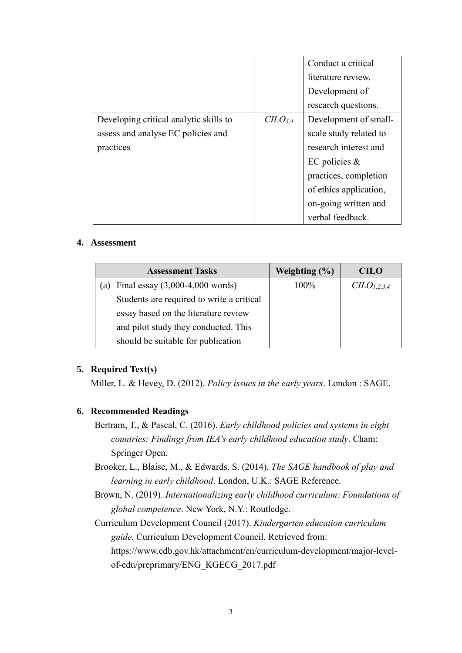|                                        |                                 | Conduct a critical     |  |
|----------------------------------------|---------------------------------|------------------------|--|
|                                        |                                 | literature review.     |  |
|                                        |                                 | Development of         |  |
|                                        |                                 | research questions.    |  |
| Developing critical analytic skills to | C <sub>L</sub> O <sub>3.4</sub> | Development of small-  |  |
| assess and analyse EC policies and     |                                 | scale study related to |  |
| practices                              |                                 | research interest and  |  |
|                                        |                                 | EC policies $\&$       |  |
|                                        |                                 | practices, completion  |  |
|                                        |                                 | of ethics application, |  |
|                                        |                                 | on-going written and   |  |
|                                        |                                 | verbal feedback.       |  |

### **4. Assessment**

| <b>Assessment Tasks</b>                   | Weighting $(\% )$ | <b>CILO</b>                         |
|-------------------------------------------|-------------------|-------------------------------------|
| Final essay $(3,000-4,000$ words)<br>a)   | 100%              | C <sub>L</sub> O <sub>L,2,3,4</sub> |
| Students are required to write a critical |                   |                                     |
| essay based on the literature review      |                   |                                     |
| and pilot study they conducted. This      |                   |                                     |
| should be suitable for publication        |                   |                                     |

## **5. Required Text(s)**

Miller, L. & Hevey, D. (2012). *Policy issues in the early years*. London : SAGE.

## **6. Recommended Readings**

- Bertram, T., & Pascal, C. (2016). *Early childhood policies and systems in eight countries: Findings from IEA's early childhood education study*. Cham: Springer Open.
- Brooker, L., Blaise, M., & Edwards, S. (2014). *The SAGE handbook of play and learning in early childhood*. London, U.K.: SAGE Reference.
- Brown, N. (2019). *Internationalizing early childhood curriculum: Foundations of global competence*. New York, N.Y.: Routledge.
- Curriculum Development Council (2017). *Kindergarten education curriculum guide*. Curriculum Development Council. Retrieved from: https://www.edb.gov.hk/attachment/en/curriculum-development/major-levelof-edu/preprimary/ENG\_KGECG\_2017.pdf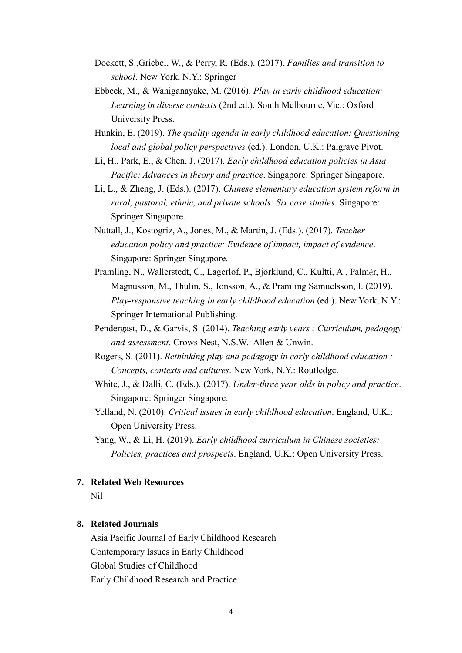- Dockett, S.,Griebel, W., & Perry, R. (Eds.). (2017). *Families and transition to school*. New York, N.Y.: Springer
- Ebbeck, M., & Waniganayake, M. (2016). *Play in early childhood education: Learning in diverse contexts* (2nd ed.). South Melbourne, Vic.: Oxford University Press.
- Hunkin, E. (2019). *The quality agenda in early childhood education: Questioning local and global policy perspectives* (ed.). London, U.K.: Palgrave Pivot.
- Li, H., Park, E., & Chen, J. (2017). *Early childhood education policies in Asia Pacific: Advances in theory and practice*. Singapore: Springer Singapore.
- Li, L., & Zheng, J. (Eds.). (2017). *Chinese elementary education system reform in rural, pastoral, ethnic, and private schools: Six case studies*. Singapore: Springer Singapore.
- Nuttall, J., Kostogriz, A., Jones, M., & Martin, J. (Eds.). (2017). *Teacher education policy and practice: Evidence of impact, impact of evidence*. Singapore: Springer Singapore.
- Pramling, N., Wallerstedt, C., Lagerlöf, P., Björklund, C., Kultti, A., Palmér, H., Magnusson, M., Thulin, S., Jonsson, A., & Pramling Samuelsson, I. (2019). *Play-responsive teaching in early childhood education* (ed.). New York, N.Y.: Springer International Publishing.
- Pendergast, D., & Garvis, S. (2014). *Teaching early years : Curriculum, pedagogy and assessment*. Crows Nest, N.S.W.: Allen & Unwin.
- Rogers, S. (2011). *Rethinking play and pedagogy in early childhood education : Concepts, contexts and cultures*. New York, N.Y.: Routledge.
- White, J., & Dalli, C. (Eds.). (2017). *Under-three year olds in policy and practice*. Singapore: Springer Singapore.
- Yelland, N. (2010). *Critical issues in early childhood education*. England, U.K.: Open University Press.
- Yang, W., & Li, H. (2019). *Early childhood curriculum in Chinese societies: Policies, practices and prospects*. England, U.K.: Open University Press.

#### **7. Related Web Resources**

Nil

## **8. Related Journals**

Asia Pacific Journal of Early Childhood Research Contemporary Issues in Early Childhood Global Studies of Childhood Early Childhood Research and Practice